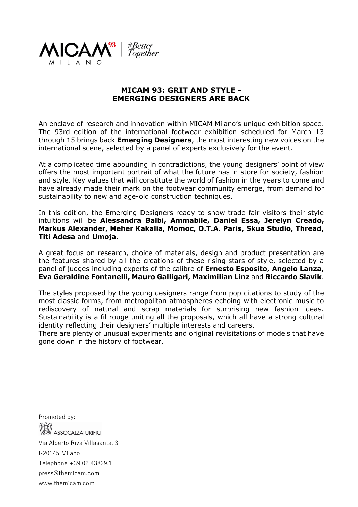

## **MICAM 93: GRIT AND STYLE - EMERGING DESIGNERS ARE BACK**

An enclave of research and innovation within MICAM Milano's unique exhibition space. The 93rd edition of the international footwear exhibition scheduled for March 13 through 15 brings back **Emerging Designers**, the most interesting new voices on the international scene, selected by a panel of experts exclusively for the event.

At a complicated time abounding in contradictions, the young designers' point of view offers the most important portrait of what the future has in store for society, fashion and style. Key values that will constitute the world of fashion in the years to come and have already made their mark on the footwear community emerge, from demand for sustainability to new and age-old construction techniques.

In this edition, the Emerging Designers ready to show trade fair visitors their style intuitions will be **Alessandra Balbi, Ammabile, Daniel Essa, Jerelyn Creado, Markus Alexander, Meher Kakalia, Momoc, O.T.A. Paris, Skua Studio, Thread, Titi Adesa** and **Umoja**.

A great focus on research, choice of materials, design and product presentation are the features shared by all the creations of these rising stars of style, selected by a panel of judges including experts of the calibre of **Ernesto Esposito, Angelo Lanza, Eva Geraldine Fontanelli, Mauro Galligari, Maximilian Linz** and **Riccardo Slavik**.

The styles proposed by the young designers range from pop citations to study of the most classic forms, from metropolitan atmospheres echoing with electronic music to rediscovery of natural and scrap materials for surprising new fashion ideas. Sustainability is a fil rouge uniting all the proposals, which all have a strong cultural identity reflecting their designers' multiple interests and careers.

There are plenty of unusual experiments and original revisitations of models that have gone down in the history of footwear.

Promoted by: **ASSOCALZATURIFICI** Via Alberto Riva Villasanta, 3 I-20145 Milano Telephone +39 02 43829.1 press@themicam.com www.themicam.com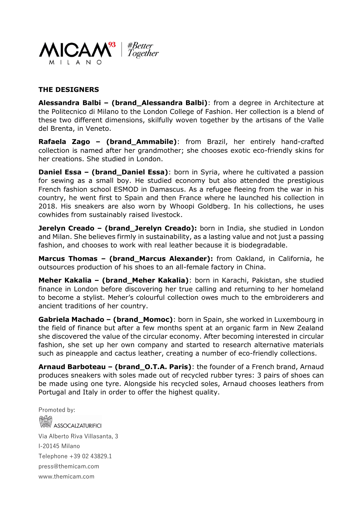

## **THE DESIGNERS**

**Alessandra Balbi – (brand\_Alessandra Balbi)**: from a degree in Architecture at the Politecnico di Milano to the London College of Fashion. Her collection is a blend of these two different dimensions, skilfully woven together by the artisans of the Valle del Brenta, in Veneto.

**Rafaela Zago – (brand\_Ammabile)**: from Brazil, her entirely hand-crafted collection is named after her grandmother; she chooses exotic eco-friendly skins for her creations. She studied in London.

**Daniel Essa – (brand\_Daniel Essa)**: born in Syria, where he cultivated a passion for sewing as a small boy. He studied economy but also attended the prestigious French fashion school ESMOD in Damascus. As a refugee fleeing from the war in his country, he went first to Spain and then France where he launched his collection in 2018. His sneakers are also worn by Whoopi Goldberg. In his collections, he uses cowhides from sustainably raised livestock.

**Jerelyn Creado – (brand\_Jerelyn Creado):** born in India, she studied in London and Milan. She believes firmly in sustainability, as a lasting value and not just a passing fashion, and chooses to work with real leather because it is biodegradable.

**Marcus Thomas – (brand\_Marcus Alexander):** from Oakland, in California, he outsources production of his shoes to an all-female factory in China.

**Meher Kakalia – (brand\_Meher Kakalia)**: born in Karachi, Pakistan, she studied finance in London before discovering her true calling and returning to her homeland to become a stylist. Meher's colourful collection owes much to the embroiderers and ancient traditions of her country.

**Gabriela Machado – (brand\_Momoc)**: born in Spain, she worked in Luxembourg in the field of finance but after a few months spent at an organic farm in New Zealand she discovered the value of the circular economy. After becoming interested in circular fashion, she set up her own company and started to research alternative materials such as pineapple and cactus leather, creating a number of eco-friendly collections.

**Arnaud Barboteau – (brand\_O.T.A. Paris)**: the founder of a French brand, Arnaud produces sneakers with soles made out of recycled rubber tyres: 3 pairs of shoes can be made using one tyre. Alongside his recycled soles, Arnaud chooses leathers from Portugal and Italy in order to offer the highest quality.

Promoted by: **ASSOCALZATURIFICI** Via Alberto Riva Villasanta, 3 I-20145 Milano Telephone +39 02 43829.1 press@themicam.com www.themicam.com